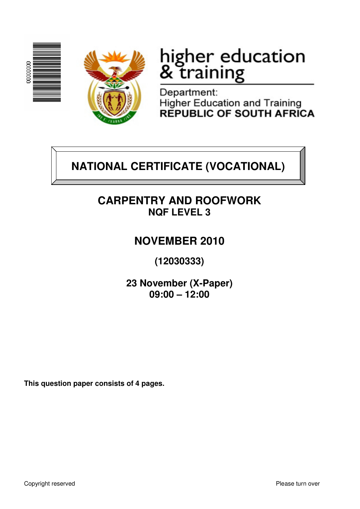



# higher education<br>& training

Department: Higher Education and Training<br>REPUBLIC OF SOUTH AFRICA

## **NATIONAL CERTIFICATE (VOCATIONAL)**

## **CARPENTRY AND ROOFWORK NQF LEVEL 3**

## **NOVEMBER 2010**

**(12030333)** 

**23 November (X-Paper) 09:00 – 12:00**

**This question paper consists of 4 pages.**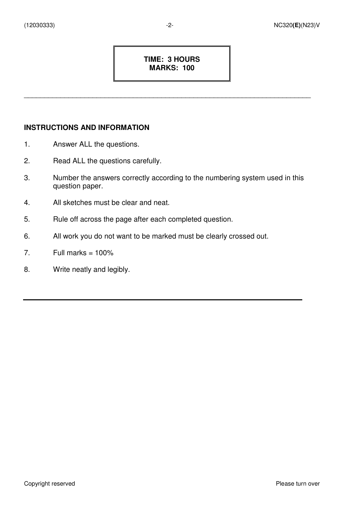#### **TIME: 3 HOURS MARKS: 100**

\_\_\_\_\_\_\_\_\_\_\_\_\_\_\_\_\_\_\_\_\_\_\_\_\_\_\_\_\_\_\_\_\_\_\_\_\_\_\_\_\_\_\_\_\_\_\_\_\_\_\_\_\_\_\_\_\_\_\_\_\_\_\_\_\_\_\_\_\_\_\_

#### **INSTRUCTIONS AND INFORMATION**

- 1. Answer ALL the questions.
- 2. Read ALL the questions carefully.
- 3. Number the answers correctly according to the numbering system used in this question paper.
- 4. All sketches must be clear and neat.
- 5. Rule off across the page after each completed question.
- 6. All work you do not want to be marked must be clearly crossed out.
- 7. Full marks  $= 100\%$
- 8. Write neatly and legibly.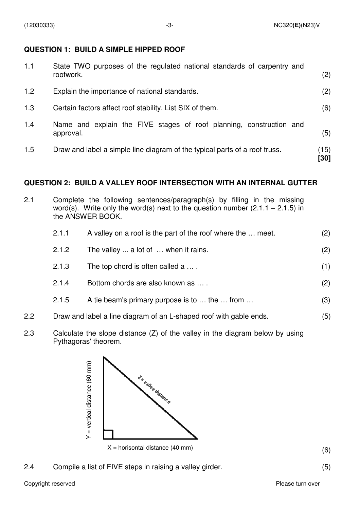#### **QUESTION 1: BUILD A SIMPLE HIPPED ROOF**

| 1.1 | State TWO purposes of the regulated national standards of carpentry and<br>roofwork. | (2)          |
|-----|--------------------------------------------------------------------------------------|--------------|
| 1.2 | Explain the importance of national standards.                                        | (2)          |
| 1.3 | Certain factors affect roof stability. List SIX of them.                             | (6)          |
| 1.4 | Name and explain the FIVE stages of roof planning, construction and<br>approval.     | (5)          |
| 1.5 | Draw and label a simple line diagram of the typical parts of a roof truss.           | (15)<br>[30] |

#### **QUESTION 2: BUILD A VALLEY ROOF INTERSECTION WITH AN INTERNAL GUTTER**

2.1 Complete the following sentences/paragraph(s) by filling in the missing word(s). Write only the word(s) next to the question number  $(2.1.1 - 2.1.5)$  in the ANSWER BOOK.

| 2.1.1 | A valley on a roof is the part of the roof where the  meet. |     |  |
|-------|-------------------------------------------------------------|-----|--|
| 2.1.2 | The valley  a lot of  when it rains.                        | (2) |  |
| 2.1.3 | The top chord is often called a                             | (1) |  |
| 2.1.4 | Bottom chords are also known as                             | (2) |  |
| 2.1.5 | A tie beam's primary purpose is to  the  from               | (3) |  |
|       |                                                             |     |  |

- 2.2 Draw and label a line diagram of an L-shaped roof with gable ends. (5)
- 2.3 Calculate the slope distance (Z) of the valley in the diagram below by using Pythagoras' theorem.



2.4 Compile a list of FIVE steps in raising a valley girder.(5)

(6)